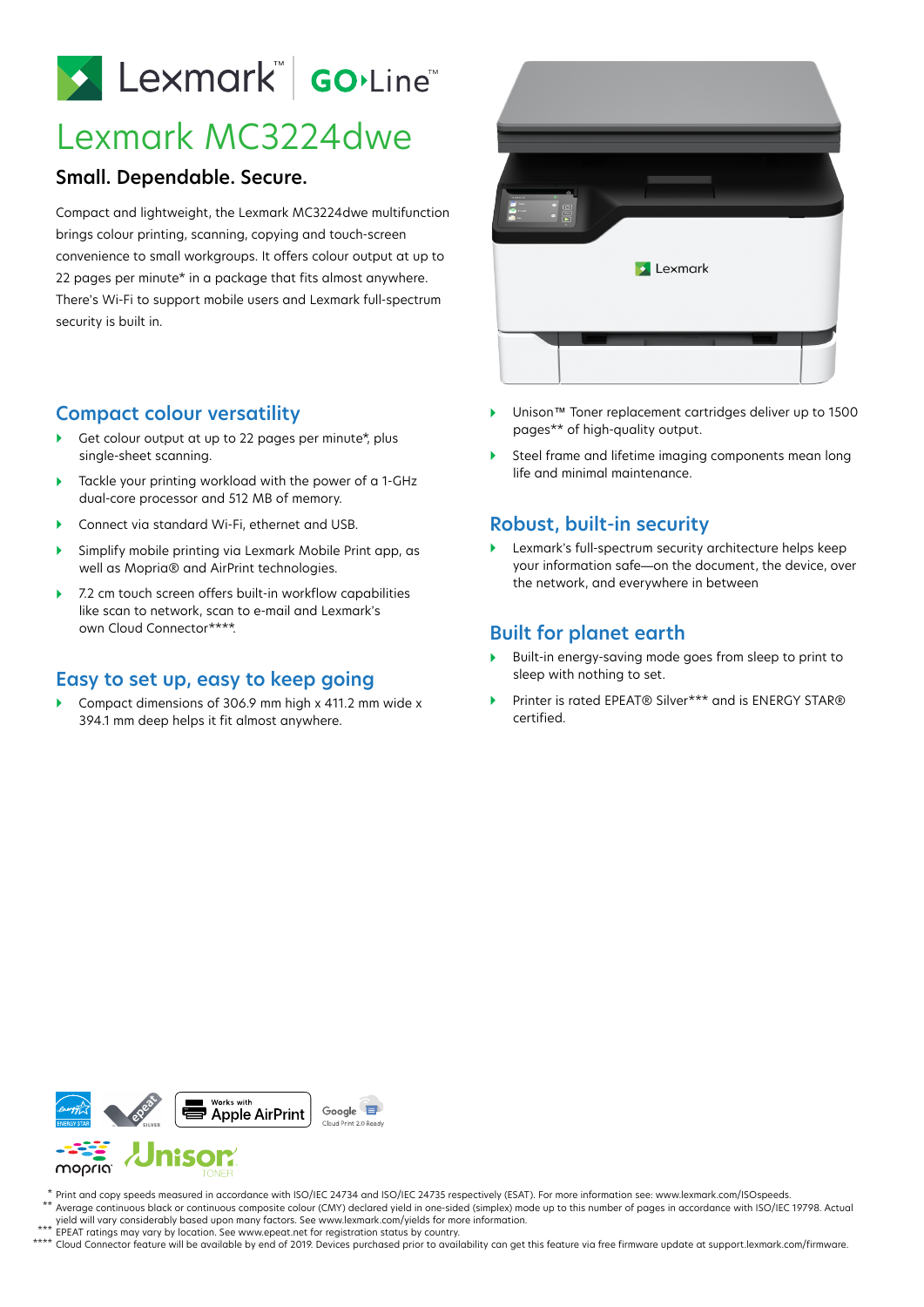# Lexmark Go.Line

# Lexmark MC3224dwe

#### **Small. Dependable. Secure.**

Compact and lightweight, the Lexmark MC3224dwe multifunction brings colour printing, scanning, copying and touch-screen convenience to small workgroups. It offers colour output at up to 22 pages per minute\* in a package that fits almost anywhere. There's Wi-Fi to support mobile users and Lexmark full-spectrum security is built in.

#### **Compact colour versatility**

- Get colour output at up to 22 pages per minute\*, plus single-sheet scanning.
- ▶ Tackle your printing workload with the power of a 1-GHz dual-core processor and 512 MB of memory.
- Connect via standard Wi-Fi, ethernet and USB.
- Simplify mobile printing via Lexmark Mobile Print app, as well as Mopria® and AirPrint technologies.
- ▶ 7.2 cm touch screen offers built-in workflow capabilities like scan to network, scan to e-mail and Lexmark's own Cloud Connector\*\*\*\*.

#### **Easy to set up, easy to keep going**

▶ Compact dimensions of 306.9 mm high x 411.2 mm wide x 394.1 mm deep helps it fit almost anywhere.



- Unison™ Toner replacement cartridges deliver up to 1500 pages\*\* of high-quality output.
- Steel frame and lifetime imaging components mean long life and minimal maintenance.

## **Robust, built-in security**

 Lexmark's full-spectrum security architecture helps keep your information safe—on the document, the device, over the network, and everywhere in between

## **Built for planet earth**

- Built-in energy-saving mode goes from sleep to print to sleep with nothing to set.
- Printer is rated EPEAT® Silver\*\*\* and is ENERGY STAR® certified.



Print and copy speeds measured in accordance with ISO/IEC 24734 and ISO/IEC 24735 respectively (ESAT). For more information see: www.lexmark.com/ISOspeeds. Average continuous black or continuous composite colour (CMY) declared yield in one-sided (simplex) mode up to this number of pages in accordance with ISO/IEC 19798. Actual yield will vary considerably based upon many factors. See www.lexmark.com/yields for more information. \* \*\*

- EPEAT ratings may vary by location. See www.epeat.net for registration status by country. \*\*\*
- Cloud Connector feature will be available by end of 2019. Devices purchased prior to availability can get this feature via free firmware update at support.lexmark.com/firmware. \*\*\*\*